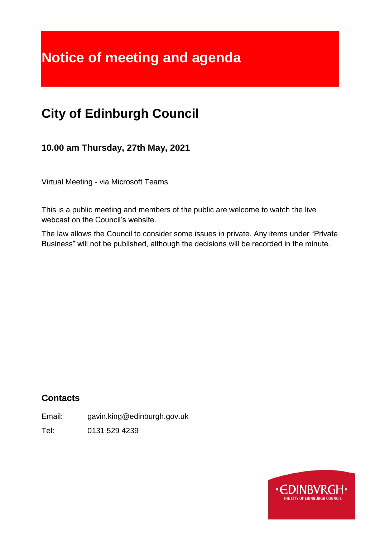# **Notice of meeting and agenda**

## **City of Edinburgh Council**

**10.00 am Thursday, 27th May, 2021**

Virtual Meeting - via Microsoft Teams

This is a public meeting and members of the public are welcome to watch the live webcast on the Council's website.

The law allows the Council to consider some issues in private. Any items under "Private Business" will not be published, although the decisions will be recorded in the minute.

## **Contacts**

Email: gavin.king@edinburgh.gov.uk

Tel: 0131 529 4239

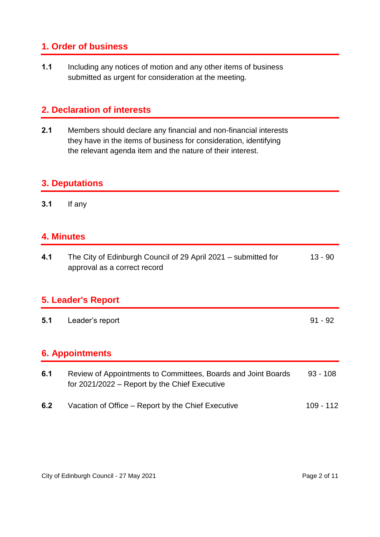## **1. Order of business**

**1.1** Including any notices of motion and any other items of business submitted as urgent for consideration at the meeting.

## **2. Declaration of interests**

**2.1** Members should declare any financial and non-financial interests they have in the items of business for consideration, identifying the relevant agenda item and the nature of their interest.

#### **3. Deputations**

**3.1** If any

#### **4. Minutes**

| 4.1 | The City of Edinburgh Council of 29 April 2021 – submitted for | 13 - 90 |
|-----|----------------------------------------------------------------|---------|
|     | approval as a correct record                                   |         |

#### **5. Leader's Report**

**5.1** Leader's report 91 - 92

## **6. Appointments**

| 6.1 | Review of Appointments to Committees, Boards and Joint Boards<br>for 2021/2022 – Report by the Chief Executive | $93 - 108$  |
|-----|----------------------------------------------------------------------------------------------------------------|-------------|
| 6.2 | Vacation of Office – Report by the Chief Executive                                                             | $109 - 112$ |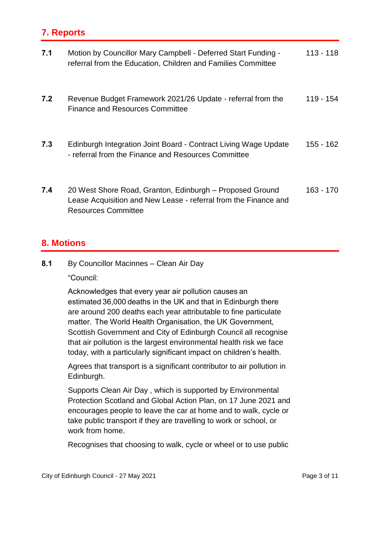## **7. Reports**

| 7.1 | Motion by Councillor Mary Campbell - Deferred Start Funding -<br>referral from the Education, Children and Families Committee                             | $113 - 118$ |
|-----|-----------------------------------------------------------------------------------------------------------------------------------------------------------|-------------|
| 7.2 | Revenue Budget Framework 2021/26 Update - referral from the<br><b>Finance and Resources Committee</b>                                                     | 119 - 154   |
| 7.3 | Edinburgh Integration Joint Board - Contract Living Wage Update<br>- referral from the Finance and Resources Committee                                    | 155 - 162   |
| 7.4 | 20 West Shore Road, Granton, Edinburgh - Proposed Ground<br>Lease Acquisition and New Lease - referral from the Finance and<br><b>Resources Committee</b> | 163 - 170   |

#### **8. Motions**

**8.1** By Councillor Macinnes – Clean Air Day

"Council:

Acknowledges that every year air pollution causes an estimated 36,000 deaths in the UK and that in Edinburgh there are around 200 deaths each year attributable to fine particulate matter.  The World Health Organisation, the UK Government, Scottish Government and City of Edinburgh Council all recognise that air pollution is the largest environmental health risk we face today, with a particularly significant impact on children's health.

Agrees that transport is a significant contributor to air pollution in Edinburgh.

Supports Clean Air Day , which is supported by Environmental Protection Scotland and Global Action Plan, on 17 June 2021 and encourages people to leave the car at home and to walk, cycle or take public transport if they are travelling to work or school, or work from home.

Recognises that choosing to walk, cycle or wheel or to use public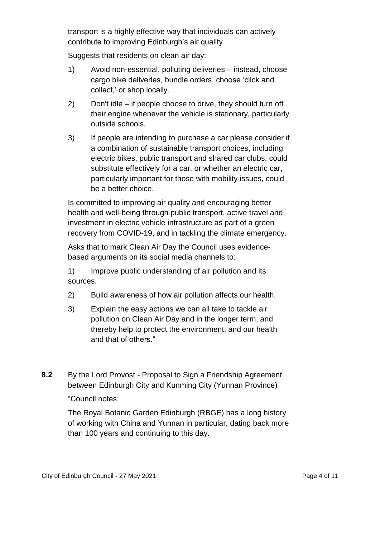transport is a highly effective way that individuals can actively contribute to improving Edinburgh's air quality.

Suggests that residents on clean air day:

- 1) Avoid non-essential, polluting deliveries instead, choose cargo bike deliveries, bundle orders, choose 'click and collect,' or shop locally.
- 2) Don't idle if people choose to drive, they should turn off their engine whenever the vehicle is stationary, particularly outside schools.
- 3) If people are intending to purchase a car please consider if a combination of sustainable transport choices, including electric bikes, public transport and shared car clubs, could substitute effectively for a car, or whether an electric car, particularly important for those with mobility issues, could be a better choice.

Is committed to improving air quality and encouraging better health and well-being through public transport, active travel and investment in electric vehicle infrastructure as part of a green recovery from COVID-19, and in tackling the climate emergency.

Asks that to mark Clean Air Day the Council uses evidencebased arguments on its social media channels to:

1) Improve public understanding of air pollution and its sources.

- 2) Build awareness of how air pollution affects our health.
- 3) Explain the easy actions we can all take to tackle air pollution on Clean Air Day and in the longer term, and thereby help to protect the environment, and our health and that of others."
- **8.2** By the Lord Provost Proposal to Sign a Friendship Agreement between Edinburgh City and Kunming City (Yunnan Province)

#### "Council notes:

The Royal Botanic Garden Edinburgh (RBGE) has a long history of working with China and Yunnan in particular, dating back more than 100 years and continuing to this day.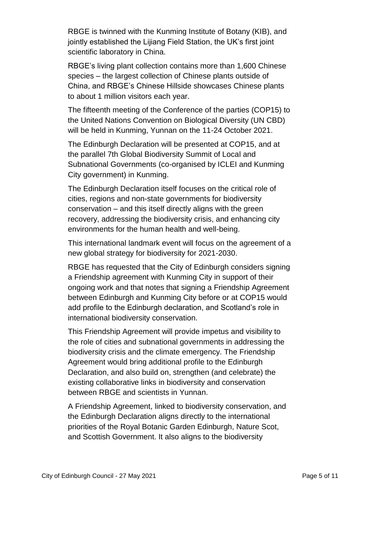RBGE is twinned with the Kunming Institute of Botany (KIB), and jointly established the Lijiang Field Station, the UK's first joint scientific laboratory in China.

RBGE's living plant collection contains more than 1,600 Chinese species – the largest collection of Chinese plants outside of China, and RBGE's Chinese Hillside showcases Chinese plants to about 1 million visitors each year.

The fifteenth meeting of the Conference of the parties (COP15) to the United Nations Convention on Biological Diversity (UN CBD) will be held in Kunming, Yunnan on the 11-24 October 2021.

The Edinburgh Declaration will be presented at COP15, and at the parallel 7th Global Biodiversity Summit of Local and Subnational Governments (co-organised by ICLEI and Kunming City government) in Kunming.

The Edinburgh Declaration itself focuses on the critical role of cities, regions and non-state governments for biodiversity conservation – and this itself directly aligns with the green recovery, addressing the biodiversity crisis, and enhancing city environments for the human health and well-being.

This international landmark event will focus on the agreement of a new global strategy for biodiversity for 2021-2030.

RBGE has requested that the City of Edinburgh considers signing a Friendship agreement with Kunming City in support of their ongoing work and that notes that signing a Friendship Agreement between Edinburgh and Kunming City before or at COP15 would add profile to the Edinburgh declaration, and Scotland's role in international biodiversity conservation.

This Friendship Agreement will provide impetus and visibility to the role of cities and subnational governments in addressing the biodiversity crisis and the climate emergency. The Friendship Agreement would bring additional profile to the Edinburgh Declaration, and also build on, strengthen (and celebrate) the existing collaborative links in biodiversity and conservation between RBGE and scientists in Yunnan.

A Friendship Agreement, linked to biodiversity conservation, and the Edinburgh Declaration aligns directly to the international priorities of the Royal Botanic Garden Edinburgh, Nature Scot, and Scottish Government. It also aligns to the biodiversity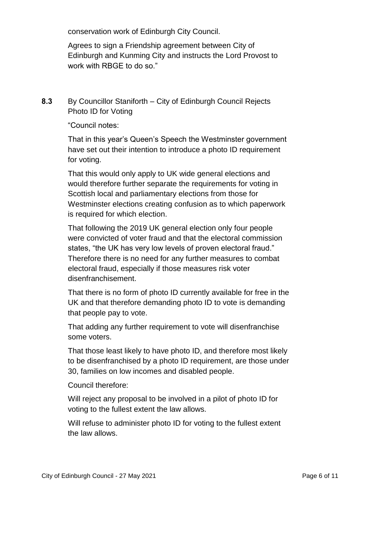conservation work of Edinburgh City Council.

Agrees to sign a Friendship agreement between City of Edinburgh and Kunming City and instructs the Lord Provost to work with RBGE to do so."

#### **8.3** By Councillor Staniforth – City of Edinburgh Council Rejects Photo ID for Voting

"Council notes:

That in this year's Queen's Speech the Westminster government have set out their intention to introduce a photo ID requirement for voting.

That this would only apply to UK wide general elections and would therefore further separate the requirements for voting in Scottish local and parliamentary elections from those for Westminster elections creating confusion as to which paperwork is required for which election.

That following the 2019 UK general election only four people were convicted of voter fraud and that the electoral commission states, "the UK has very low levels of proven electoral fraud." Therefore there is no need for any further measures to combat electoral fraud, especially if those measures risk voter disenfranchisement.

That there is no form of photo ID currently available for free in the UK and that therefore demanding photo ID to vote is demanding that people pay to vote.

That adding any further requirement to vote will disenfranchise some voters.

That those least likely to have photo ID, and therefore most likely to be disenfranchised by a photo ID requirement, are those under 30, families on low incomes and disabled people.

Council therefore:

Will reject any proposal to be involved in a pilot of photo ID for voting to the fullest extent the law allows.

Will refuse to administer photo ID for voting to the fullest extent the law allows.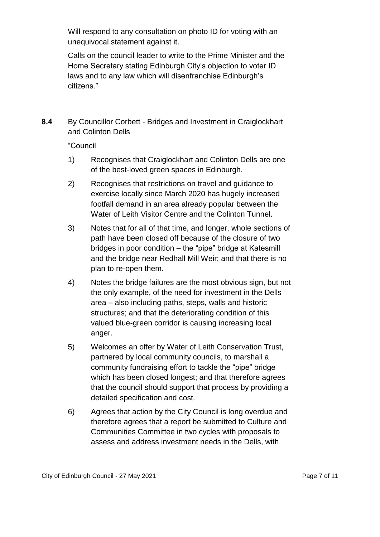Will respond to any consultation on photo ID for voting with an unequivocal statement against it.

Calls on the council leader to write to the Prime Minister and the Home Secretary stating Edinburgh City's objection to voter ID laws and to any law which will disenfranchise Edinburgh's citizens."

**8.4** By Councillor Corbett - Bridges and Investment in Craiglockhart and Colinton Dells

"Council

- 1) Recognises that Craiglockhart and Colinton Dells are one of the best-loved green spaces in Edinburgh.
- 2) Recognises that restrictions on travel and guidance to exercise locally since March 2020 has hugely increased footfall demand in an area already popular between the Water of Leith Visitor Centre and the Colinton Tunnel.
- 3) Notes that for all of that time, and longer, whole sections of path have been closed off because of the closure of two bridges in poor condition – the "pipe" bridge at Katesmill and the bridge near Redhall Mill Weir; and that there is no plan to re-open them.
- 4) Notes the bridge failures are the most obvious sign, but not the only example, of the need for investment in the Dells area – also including paths, steps, walls and historic structures; and that the deteriorating condition of this valued blue-green corridor is causing increasing local anger.
- 5) Welcomes an offer by Water of Leith Conservation Trust, partnered by local community councils, to marshall a community fundraising effort to tackle the "pipe" bridge which has been closed longest; and that therefore agrees that the council should support that process by providing a detailed specification and cost.
- 6) Agrees that action by the City Council is long overdue and therefore agrees that a report be submitted to Culture and Communities Committee in two cycles with proposals to assess and address investment needs in the Dells, with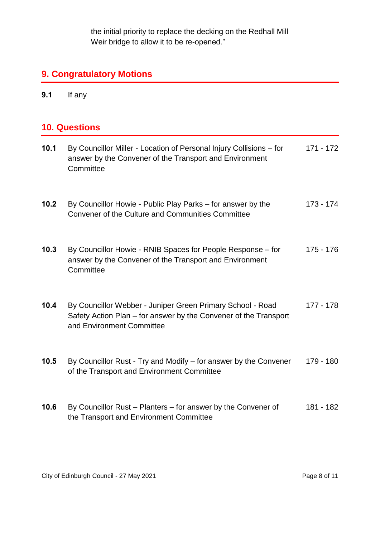the initial priority to replace the decking on the Redhall Mill Weir bridge to allow it to be re-opened."

## **9. Congratulatory Motions**

**9.1** If any

## **10. Questions**

| 10.1 | By Councillor Miller - Location of Personal Injury Collisions – for<br>answer by the Convener of the Transport and Environment<br>Committee                 | 171 - 172   |
|------|-------------------------------------------------------------------------------------------------------------------------------------------------------------|-------------|
| 10.2 | By Councillor Howie - Public Play Parks – for answer by the<br>Convener of the Culture and Communities Committee                                            | 173 - 174   |
| 10.3 | By Councillor Howie - RNIB Spaces for People Response – for<br>answer by the Convener of the Transport and Environment<br>Committee                         | 175 - 176   |
| 10.4 | By Councillor Webber - Juniper Green Primary School - Road<br>Safety Action Plan - for answer by the Convener of the Transport<br>and Environment Committee | $177 - 178$ |
| 10.5 | By Councillor Rust - Try and Modify - for answer by the Convener<br>of the Transport and Environment Committee                                              | 179 - 180   |
| 10.6 | By Councillor Rust – Planters – for answer by the Convener of<br>the Transport and Environment Committee                                                    | 181 - 182   |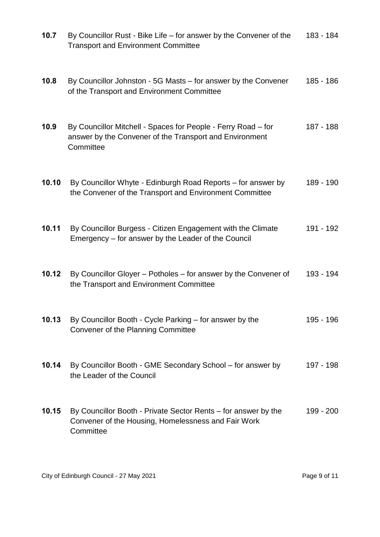| 10.7  | By Councillor Rust - Bike Life - for answer by the Convener of the<br><b>Transport and Environment Committee</b>                      | 183 - 184 |
|-------|---------------------------------------------------------------------------------------------------------------------------------------|-----------|
| 10.8  | By Councillor Johnston - 5G Masts – for answer by the Convener<br>of the Transport and Environment Committee                          | 185 - 186 |
| 10.9  | By Councillor Mitchell - Spaces for People - Ferry Road – for<br>answer by the Convener of the Transport and Environment<br>Committee | 187 - 188 |
| 10.10 | By Councillor Whyte - Edinburgh Road Reports – for answer by<br>the Convener of the Transport and Environment Committee               | 189 - 190 |
| 10.11 | By Councillor Burgess - Citizen Engagement with the Climate<br>Emergency – for answer by the Leader of the Council                    | 191 - 192 |
| 10.12 | By Councillor Gloyer – Potholes – for answer by the Convener of<br>the Transport and Environment Committee                            | 193 - 194 |
| 10.13 | By Councillor Booth - Cycle Parking – for answer by the<br>Convener of the Planning Committee                                         | 195 - 196 |
| 10.14 | By Councillor Booth - GME Secondary School - for answer by<br>the Leader of the Council                                               | 197 - 198 |
| 10.15 | By Councillor Booth - Private Sector Rents – for answer by the<br>Convener of the Housing, Homelessness and Fair Work<br>Committee    | 199 - 200 |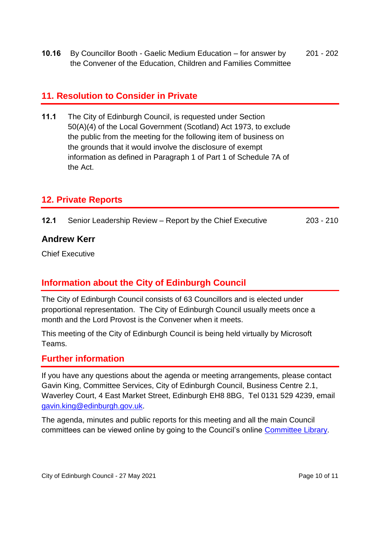**10.16** By Councillor Booth - Gaelic Medium Education – for answer by the Convener of the Education, Children and Families Committee 201 - 202

## **11. Resolution to Consider in Private**

**11.1** The City of Edinburgh Council, is requested under Section 50(A)(4) of the Local Government (Scotland) Act 1973, to exclude the public from the meeting for the following item of business on the grounds that it would involve the disclosure of exempt information as defined in Paragraph 1 of Part 1 of Schedule 7A of the Act.

## **12. Private Reports**

| 12.1<br>Senior Leadership Review - Report by the Chief Executive<br>203 - 210 |  |
|-------------------------------------------------------------------------------|--|
|-------------------------------------------------------------------------------|--|

#### **Andrew Kerr**

Chief Executive

## **Information about the City of Edinburgh Council**

The City of Edinburgh Council consists of 63 Councillors and is elected under proportional representation. The City of Edinburgh Council usually meets once a month and the Lord Provost is the Convener when it meets.

This meeting of the City of Edinburgh Council is being held virtually by Microsoft Teams.

#### **Further information**

If you have any questions about the agenda or meeting arrangements, please contact Gavin King, Committee Services, City of Edinburgh Council, Business Centre 2.1, Waverley Court, 4 East Market Street, Edinburgh EH8 8BG, Tel 0131 529 4239, email [gavin.king@edinburgh.gov.uk.](mailto:gavin.king@edinburgh.gov.uk)

The agenda, minutes and public reports for this meeting and all the main Council committees can be viewed online by going to the Council's online [Committee Library.](https://democracy.edinburgh.gov.uk/ieDocHome.aspx?bcr=1)